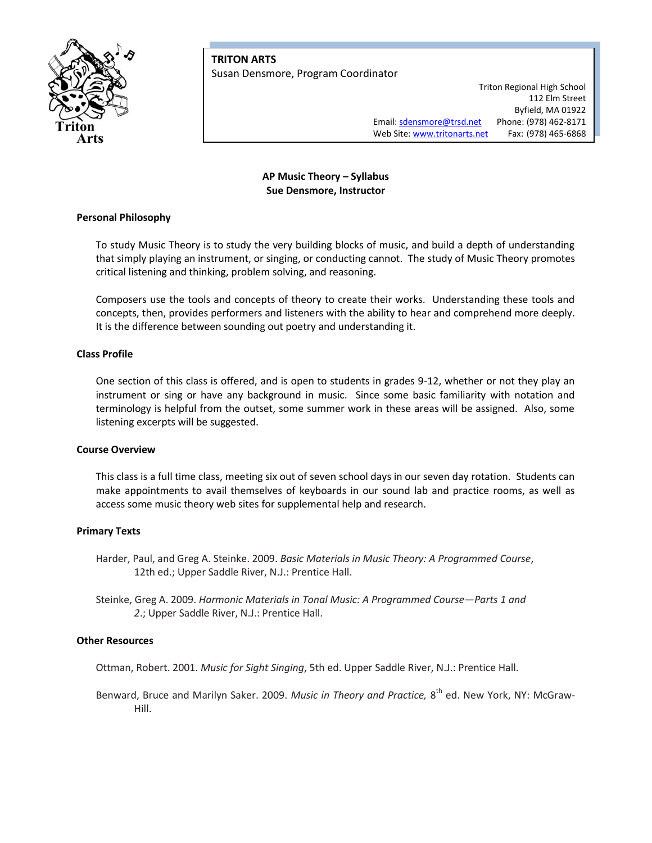

**TRITON ARTS** Susan Densmore, Program Coordinator

> Triton Regional High School 112 Elm Street Byfield, MA 01922 Email[: sdensmore@trsd.net](mailto:sdensmore@trsd.net) Phone: (978) 462-8171 Web Site: [www.tritonarts.net](http://www.tritonarts.net/) Fax: (978) 465-6868

# **AP Music Theory – Syllabus Sue Densmore, Instructor**

# **Personal Philosophy**

To study Music Theory is to study the very building blocks of music, and build a depth of understanding that simply playing an instrument, or singing, or conducting cannot. The study of Music Theory promotes critical listening and thinking, problem solving, and reasoning.

Composers use the tools and concepts of theory to create their works. Understanding these tools and concepts, then, provides performers and listeners with the ability to hear and comprehend more deeply. It is the difference between sounding out poetry and understanding it.

### **Class Profile**

One section of this class is offered, and is open to students in grades 9-12, whether or not they play an instrument or sing or have any background in music. Since some basic familiarity with notation and terminology is helpful from the outset, some summer work in these areas will be assigned. Also, some listening excerpts will be suggested.

#### **Course Overview**

This class is a full time class, meeting six out of seven school days in our seven day rotation. Students can make appointments to avail themselves of keyboards in our sound lab and practice rooms, as well as access some music theory web sites for supplemental help and research.

#### **Primary Texts**

- Harder, Paul, and Greg A. Steinke. 2009. *Basic Materials in Music Theory: A Programmed Course*, 12th ed.; Upper Saddle River, N.J.: Prentice Hall.
- Steinke, Greg A. 2009. *Harmonic Materials in Tonal Music: A Programmed Course—Parts 1 and 2*.; Upper Saddle River, N.J.: Prentice Hall.

# **Other Resources**

Ottman, Robert. 2001. *Music for Sight Singing*, 5th ed. Upper Saddle River, N.J.: Prentice Hall.

Benward, Bruce and Marilyn Saker. 2009. Music in Theory and Practice, 8<sup>th</sup> ed. New York, NY: McGraw-Hill.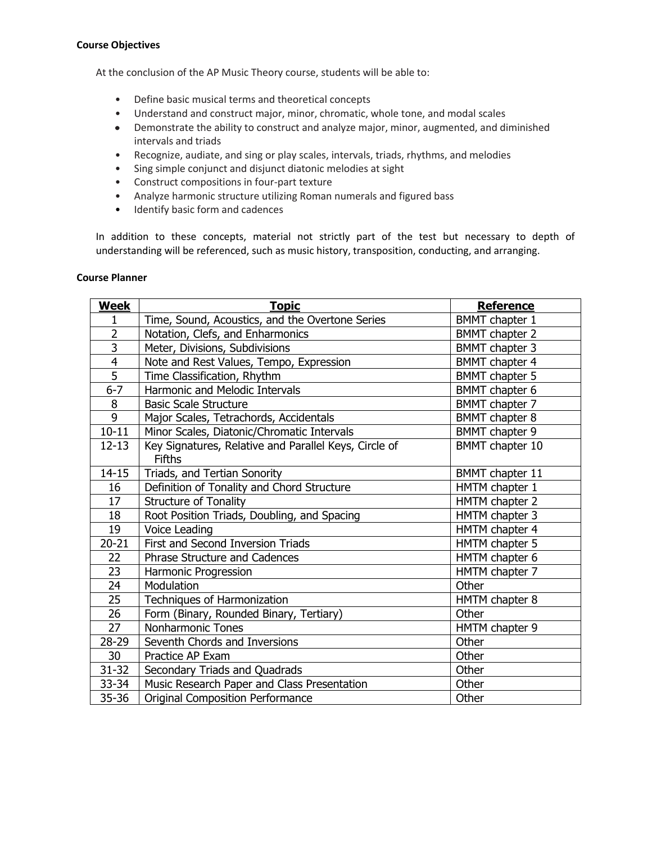### **Course Objectives**

At the conclusion of the AP Music Theory course, students will be able to:

- Define basic musical terms and theoretical concepts
- Understand and construct major, minor, chromatic, whole tone, and modal scales
- Demonstrate the ability to construct and analyze major, minor, augmented, and diminished intervals and triads
- Recognize, audiate, and sing or play scales, intervals, triads, rhythms, and melodies
- Sing simple conjunct and disjunct diatonic melodies at sight
- Construct compositions in four-part texture
- Analyze harmonic structure utilizing Roman numerals and figured bass
- Identify basic form and cadences

In addition to these concepts, material not strictly part of the test but necessary to depth of understanding will be referenced, such as music history, transposition, conducting, and arranging.

# **Course Planner**

| <b>Week</b>    | <b>Topic</b>                                                           | <b>Reference</b>       |
|----------------|------------------------------------------------------------------------|------------------------|
| 1              | Time, Sound, Acoustics, and the Overtone Series                        | <b>BMMT</b> chapter 1  |
| $\overline{2}$ | Notation, Clefs, and Enharmonics                                       | <b>BMMT</b> chapter 2  |
| $\overline{3}$ | Meter, Divisions, Subdivisions                                         | <b>BMMT</b> chapter 3  |
| $\overline{4}$ | Note and Rest Values, Tempo, Expression                                | <b>BMMT</b> chapter 4  |
| $\overline{5}$ | Time Classification, Rhythm                                            | <b>BMMT</b> chapter 5  |
| $6 - 7$        | Harmonic and Melodic Intervals                                         | BMMT chapter 6         |
| 8              | <b>Basic Scale Structure</b>                                           | BMMT chapter 7         |
| 9              | Major Scales, Tetrachords, Accidentals                                 | <b>BMMT</b> chapter 8  |
| $10 - 11$      | Minor Scales, Diatonic/Chromatic Intervals                             | BMMT chapter 9         |
| $12 - 13$      | Key Signatures, Relative and Parallel Keys, Circle of<br><b>Fifths</b> | BMMT chapter 10        |
| $14 - 15$      | Triads, and Tertian Sonority                                           | <b>BMMT</b> chapter 11 |
| 16             | Definition of Tonality and Chord Structure                             | HMTM chapter 1         |
| 17             | <b>Structure of Tonality</b>                                           | HMTM chapter 2         |
| 18             | Root Position Triads, Doubling, and Spacing                            | HMTM chapter 3         |
| 19             | <b>Voice Leading</b>                                                   | HMTM chapter 4         |
| $20 - 21$      | First and Second Inversion Triads                                      | HMTM chapter 5         |
| 22             | <b>Phrase Structure and Cadences</b>                                   | HMTM chapter 6         |
| 23             | Harmonic Progression                                                   | HMTM chapter 7         |
| 24             | Modulation                                                             | Other                  |
| 25             | Techniques of Harmonization                                            | HMTM chapter 8         |
| 26             | Form (Binary, Rounded Binary, Tertiary)                                | Other                  |
| 27             | Nonharmonic Tones                                                      | HMTM chapter 9         |
| 28-29          | Seventh Chords and Inversions                                          | Other                  |
| 30             | Practice AP Exam                                                       | Other                  |
| $31 - 32$      | Secondary Triads and Quadrads                                          | Other                  |
| $33 - 34$      | Music Research Paper and Class Presentation                            | Other                  |
| $35 - 36$      | <b>Original Composition Performance</b>                                | Other                  |